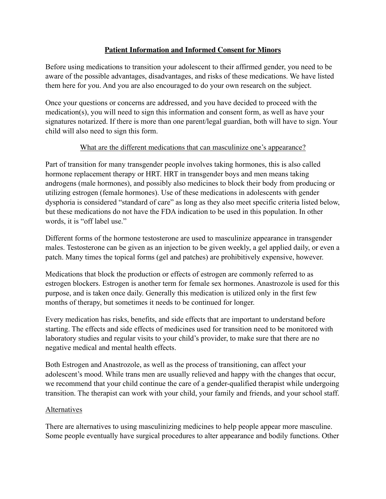## **Patient Information and Informed Consent for Minors**

Before using medications to transition your adolescent to their affirmed gender, you need to be aware of the possible advantages, disadvantages, and risks of these medications. We have listed them here for you. And you are also encouraged to do your own research on the subject.

Once your questions or concerns are addressed, and you have decided to proceed with the medication(s), you will need to sign this information and consent form, as well as have your signatures notarized. If there is more than one parent/legal guardian, both will have to sign. Your child will also need to sign this form.

#### What are the different medications that can masculinize one's appearance?

Part of transition for many transgender people involves taking hormones, this is also called hormone replacement therapy or HRT. HRT in transgender boys and men means taking androgens (male hormones), and possibly also medicines to block their body from producing or utilizing estrogen (female hormones). Use of these medications in adolescents with gender dysphoria is considered "standard of care" as long as they also meet specific criteria listed below, but these medications do not have the FDA indication to be used in this population. In other words, it is "off label use."

Different forms of the hormone testosterone are used to masculinize appearance in transgender males. Testosterone can be given as an injection to be given weekly, a gel applied daily, or even a patch. Many times the topical forms (gel and patches) are prohibitively expensive, however.

Medications that block the production or effects of estrogen are commonly referred to as estrogen blockers. Estrogen is another term for female sex hormones. Anastrozole is used for this purpose, and is taken once daily. Generally this medication is utilized only in the first few months of therapy, but sometimes it needs to be continued for longer.

Every medication has risks, benefits, and side effects that are important to understand before starting. The effects and side effects of medicines used for transition need to be monitored with laboratory studies and regular visits to your child's provider, to make sure that there are no negative medical and mental health effects.

Both Estrogen and Anastrozole, as well as the process of transitioning, can affect your adolescent's mood. While trans men are usually relieved and happy with the changes that occur, we recommend that your child continue the care of a gender-qualified therapist while undergoing transition. The therapist can work with your child, your family and friends, and your school staff.

#### Alternatives

There are alternatives to using masculinizing medicines to help people appear more masculine. Some people eventually have surgical procedures to alter appearance and bodily functions. Other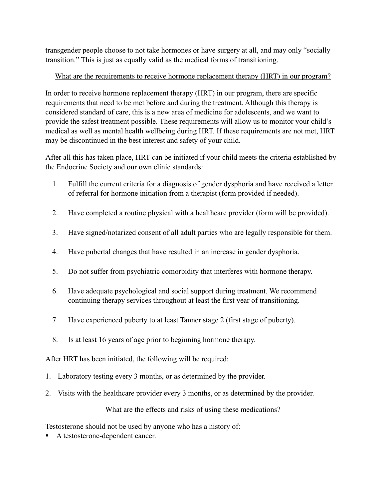transgender people choose to not take hormones or have surgery at all, and may only "socially transition." This is just as equally valid as the medical forms of transitioning.

## What are the requirements to receive hormone replacement therapy (HRT) in our program?

In order to receive hormone replacement therapy (HRT) in our program, there are specific requirements that need to be met before and during the treatment. Although this therapy is considered standard of care, this is a new area of medicine for adolescents, and we want to provide the safest treatment possible. These requirements will allow us to monitor your child's medical as well as mental health wellbeing during HRT. If these requirements are not met, HRT may be discontinued in the best interest and safety of your child.

After all this has taken place, HRT can be initiated if your child meets the criteria established by the Endocrine Society and our own clinic standards:

- 1. Fulfill the current criteria for a diagnosis of gender dysphoria and have received a letter of referral for hormone initiation from a therapist (form provided if needed).
- 2. Have completed a routine physical with a healthcare provider (form will be provided).
- 3. Have signed/notarized consent of all adult parties who are legally responsible for them.
- 4. Have pubertal changes that have resulted in an increase in gender dysphoria.
- 5. Do not suffer from psychiatric comorbidity that interferes with hormone therapy.
- 6. Have adequate psychological and social support during treatment. We recommend continuing therapy services throughout at least the first year of transitioning.
- 7. Have experienced puberty to at least Tanner stage 2 (first stage of puberty).
- 8. Is at least 16 years of age prior to beginning hormone therapy.

After HRT has been initiated, the following will be required:

- 1. Laboratory testing every 3 months, or as determined by the provider.
- 2. Visits with the healthcare provider every 3 months, or as determined by the provider.

# What are the effects and risks of using these medications?

Testosterone should not be used by anyone who has a history of:

! A testosterone-dependent cancer.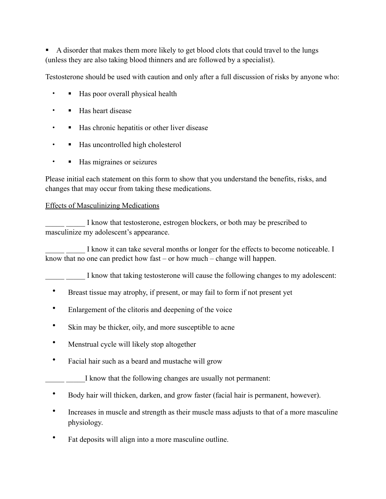! A disorder that makes them more likely to get blood clots that could travel to the lungs (unless they are also taking blood thinners and are followed by a specialist).

Testosterone should be used with caution and only after a full discussion of risks by anyone who:

- Has poor overall physical health
- • Has heart disease
- **If Has chronic hepatitis or other liver disease**
- **•** Has uncontrolled high cholesterol
- Has migraines or seizures

Please initial each statement on this form to show that you understand the benefits, risks, and changes that may occur from taking these medications.

## Effects of Masculinizing Medications

I know that testosterone, estrogen blockers, or both may be prescribed to masculinize my adolescent's appearance.

I know it can take several months or longer for the effects to become noticeable. I know that no one can predict how fast – or how much – change will happen.

I know that taking testosterone will cause the following changes to my adolescent:

- Breast tissue may atrophy, if present, or may fail to form if not present yet
- Enlargement of the clitoris and deepening of the voice
- Skin may be thicker, oily, and more susceptible to acne
- Menstrual cycle will likely stop altogether
- Facial hair such as a beard and mustache will grow

I know that the following changes are usually not permanent:

- Body hair will thicken, darken, and grow faster (facial hair is permanent, however).
- Increases in muscle and strength as their muscle mass adjusts to that of a more masculine physiology.
- Fat deposits will align into a more masculine outline.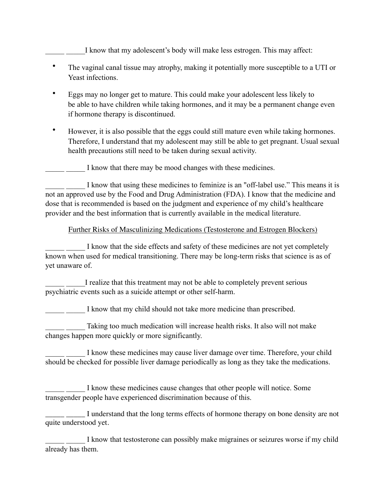## I know that my adolescent's body will make less estrogen. This may affect:

- The vaginal canal tissue may atrophy, making it potentially more susceptible to a UTI or Yeast infections.
- Eggs may no longer get to mature. This could make your adolescent less likely to be able to have children while taking hormones, and it may be a permanent change even if hormone therapy is discontinued.
- However, it is also possible that the eggs could still mature even while taking hormones. Therefore, I understand that my adolescent may still be able to get pregnant. Usual sexual health precautions still need to be taken during sexual activity.

I know that there may be mood changes with these medicines.

I know that using these medicines to feminize is an "off-label use." This means it is not an approved use by the Food and Drug Administration (FDA). I know that the medicine and dose that is recommended is based on the judgment and experience of my child's healthcare provider and the best information that is currently available in the medical literature.

#### Further Risks of Masculinizing Medications (Testosterone and Estrogen Blockers)

I know that the side effects and safety of these medicines are not yet completely known when used for medical transitioning. There may be long-term risks that science is as of yet unaware of.

I realize that this treatment may not be able to completely prevent serious psychiatric events such as a suicide attempt or other self-harm.

I know that my child should not take more medicine than prescribed.

Taking too much medication will increase health risks. It also will not make changes happen more quickly or more significantly.

I know these medicines may cause liver damage over time. Therefore, your child should be checked for possible liver damage periodically as long as they take the medications.

I know these medicines cause changes that other people will notice. Some transgender people have experienced discrimination because of this.

I understand that the long terms effects of hormone therapy on bone density are not quite understood yet.

I know that testosterone can possibly make migraines or seizures worse if my child already has them.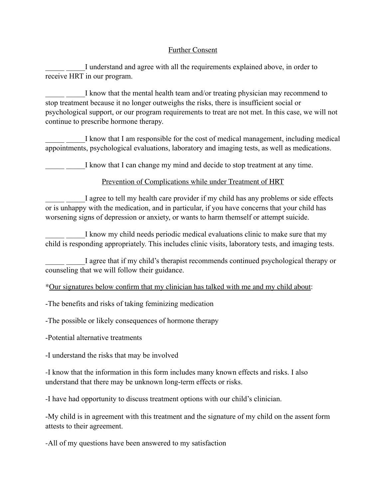#### Further Consent

I understand and agree with all the requirements explained above, in order to receive HRT in our program.

I know that the mental health team and/or treating physician may recommend to stop treatment because it no longer outweighs the risks, there is insufficient social or psychological support, or our program requirements to treat are not met. In this case, we will not continue to prescribe hormone therapy.

I know that I am responsible for the cost of medical management, including medical appointments, psychological evaluations, laboratory and imaging tests, as well as medications.

I know that I can change my mind and decide to stop treatment at any time.

## Prevention of Complications while under Treatment of HRT

I agree to tell my health care provider if my child has any problems or side effects or is unhappy with the medication, and in particular, if you have concerns that your child has worsening signs of depression or anxiety, or wants to harm themself or attempt suicide.

I know my child needs periodic medical evaluations clinic to make sure that my child is responding appropriately. This includes clinic visits, laboratory tests, and imaging tests.

I agree that if my child's therapist recommends continued psychological therapy or counseling that we will follow their guidance.

\*Our signatures below confirm that my clinician has talked with me and my child about:

-The benefits and risks of taking feminizing medication

-The possible or likely consequences of hormone therapy

-Potential alternative treatments

-I understand the risks that may be involved

-I know that the information in this form includes many known effects and risks. I also understand that there may be unknown long-term effects or risks.

-I have had opportunity to discuss treatment options with our child's clinician.

-My child is in agreement with this treatment and the signature of my child on the assent form attests to their agreement.

-All of my questions have been answered to my satisfaction